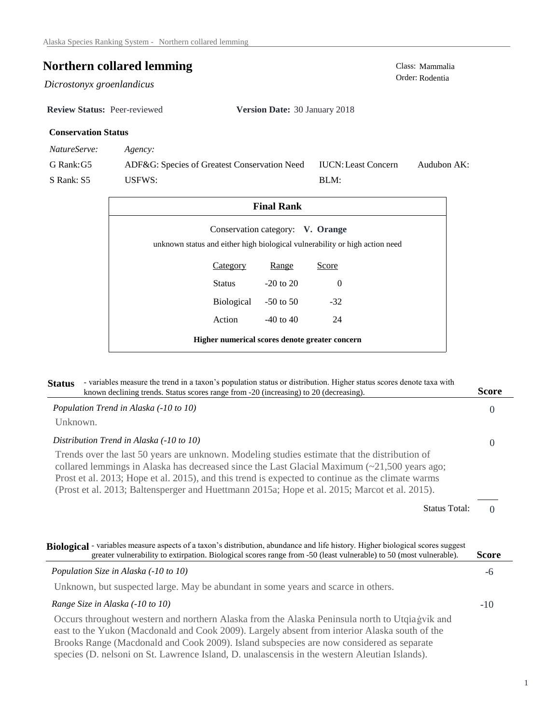# **Northern collared lemming** Class: Mammalia Class: Mammalia Order: Rodentia

 $Dicrostonyx$  groenlandicus

**Review Status:** Peer-reviewed **Version Date:** 30 January 2018

## **Conservation Status**

*NatureServe: Agency:*

G Rank:G5 S Rank: S5 ADF&G: Species of Greatest Conservation Need USFWS: Audubon AK: BLM: IUCN:Least Concern

| <b>Final Rank</b>                                                                                               |                 |               |          |  |  |  |
|-----------------------------------------------------------------------------------------------------------------|-----------------|---------------|----------|--|--|--|
| Conservation category: V. Orange<br>unknown status and either high biological vulnerability or high action need |                 |               |          |  |  |  |
|                                                                                                                 | <b>Category</b> | <b>Range</b>  | Score    |  |  |  |
|                                                                                                                 | Status          | $-20$ to $20$ | $\Omega$ |  |  |  |
|                                                                                                                 | Biological      | $-50$ to 50   | $-32$    |  |  |  |
|                                                                                                                 | Action          | $-40$ to $40$ | 24       |  |  |  |
| Higher numerical scores denote greater concern                                                                  |                 |               |          |  |  |  |

| - variables measure the trend in a taxon's population status or distribution. Higher status scores denote taxa with<br><b>Status</b><br>known declining trends. Status scores range from -20 (increasing) to 20 (decreasing).                                                                                                                                                                                         | <b>Score</b> |
|-----------------------------------------------------------------------------------------------------------------------------------------------------------------------------------------------------------------------------------------------------------------------------------------------------------------------------------------------------------------------------------------------------------------------|--------------|
| Population Trend in Alaska (-10 to 10)                                                                                                                                                                                                                                                                                                                                                                                | $\theta$     |
| Unknown.                                                                                                                                                                                                                                                                                                                                                                                                              |              |
| Distribution Trend in Alaska (-10 to 10)                                                                                                                                                                                                                                                                                                                                                                              | $\theta$     |
| Trends over the last 50 years are unknown. Modeling studies estimate that the distribution of<br>collared lemmings in Alaska has decreased since the Last Glacial Maximum $\left(\sim 21,500\right)$ years ago;<br>Prost et al. 2013; Hope et al. 2015), and this trend is expected to continue as the climate warms<br>(Prost et al. 2013; Baltensperger and Huettmann 2015a; Hope et al. 2015; Marcot et al. 2015). |              |
| <b>Status Total:</b>                                                                                                                                                                                                                                                                                                                                                                                                  | $\Omega$     |
| Biological - variables measure aspects of a taxon's distribution, abundance and life history. Higher biological scores suggest<br>greater vulnerability to extirpation. Biological scores range from -50 (least vulnerable) to 50 (most vulnerable).                                                                                                                                                                  | <b>Score</b> |
| Population Size in Alaska (-10 to 10)                                                                                                                                                                                                                                                                                                                                                                                 | -6           |
| Unknown, but suspected large. May be abundant in some years and scarce in others.                                                                                                                                                                                                                                                                                                                                     |              |
| Range Size in Alaska (-10 to 10)                                                                                                                                                                                                                                                                                                                                                                                      | $-10$        |
| Occurs throughout western and northern Alaska from the Alaska Peninsula north to Utqia gvik and<br>east to the Yukon (Macdonald and Cook 2009). Largely absent from interior Alaska south of the<br>Brooks Range (Macdonald and Cook 2009). Island subspecies are now considered as separate<br>species (D. nelsoni on St. Lawrence Island, D. unalascensis in the western Aleutian Islands).                         |              |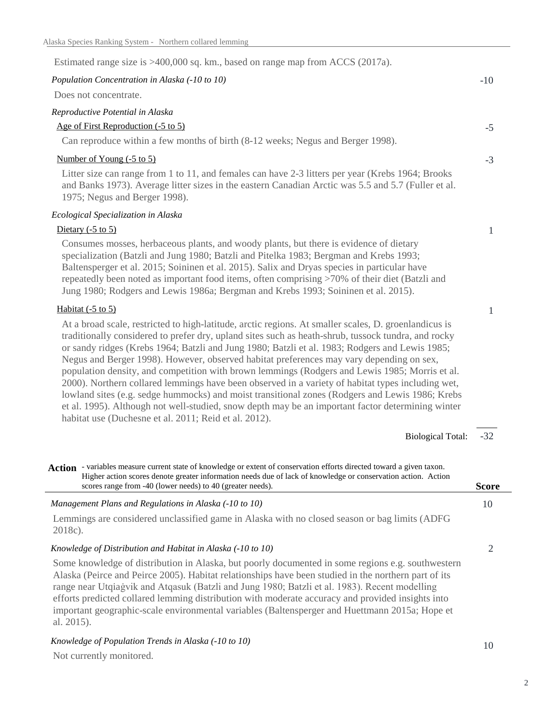| Estimated range size is >400,000 sq. km., based on range map from ACCS (2017a).                                                                                                                                                                                                                                                                                                                                                                                                                                                                                                                                                                                                                                                                                                                                                                                                    |                |
|------------------------------------------------------------------------------------------------------------------------------------------------------------------------------------------------------------------------------------------------------------------------------------------------------------------------------------------------------------------------------------------------------------------------------------------------------------------------------------------------------------------------------------------------------------------------------------------------------------------------------------------------------------------------------------------------------------------------------------------------------------------------------------------------------------------------------------------------------------------------------------|----------------|
| Population Concentration in Alaska (-10 to 10)                                                                                                                                                                                                                                                                                                                                                                                                                                                                                                                                                                                                                                                                                                                                                                                                                                     | $-10$          |
| Does not concentrate.                                                                                                                                                                                                                                                                                                                                                                                                                                                                                                                                                                                                                                                                                                                                                                                                                                                              |                |
| Reproductive Potential in Alaska                                                                                                                                                                                                                                                                                                                                                                                                                                                                                                                                                                                                                                                                                                                                                                                                                                                   |                |
| Age of First Reproduction (-5 to 5)                                                                                                                                                                                                                                                                                                                                                                                                                                                                                                                                                                                                                                                                                                                                                                                                                                                | $-5$           |
| Can reproduce within a few months of birth (8-12 weeks; Negus and Berger 1998).                                                                                                                                                                                                                                                                                                                                                                                                                                                                                                                                                                                                                                                                                                                                                                                                    |                |
| Number of Young (-5 to 5)                                                                                                                                                                                                                                                                                                                                                                                                                                                                                                                                                                                                                                                                                                                                                                                                                                                          | $-3$           |
| Litter size can range from 1 to 11, and females can have 2-3 litters per year (Krebs 1964; Brooks<br>and Banks 1973). Average litter sizes in the eastern Canadian Arctic was 5.5 and 5.7 (Fuller et al.<br>1975; Negus and Berger 1998).                                                                                                                                                                                                                                                                                                                                                                                                                                                                                                                                                                                                                                          |                |
| Ecological Specialization in Alaska                                                                                                                                                                                                                                                                                                                                                                                                                                                                                                                                                                                                                                                                                                                                                                                                                                                |                |
| Dietary $(-5 \text{ to } 5)$                                                                                                                                                                                                                                                                                                                                                                                                                                                                                                                                                                                                                                                                                                                                                                                                                                                       | $\mathbf{1}$   |
| Consumes mosses, herbaceous plants, and woody plants, but there is evidence of dietary<br>specialization (Batzli and Jung 1980; Batzli and Pitelka 1983; Bergman and Krebs 1993;<br>Baltensperger et al. 2015; Soininen et al. 2015). Salix and Dryas species in particular have<br>repeatedly been noted as important food items, often comprising >70% of their diet (Batzli and<br>Jung 1980; Rodgers and Lewis 1986a; Bergman and Krebs 1993; Soininen et al. 2015).                                                                                                                                                                                                                                                                                                                                                                                                           |                |
| Habitat $(-5 \text{ to } 5)$                                                                                                                                                                                                                                                                                                                                                                                                                                                                                                                                                                                                                                                                                                                                                                                                                                                       | $\mathbf{1}$   |
| At a broad scale, restricted to high-latitude, arctic regions. At smaller scales, D. groenlandicus is<br>traditionally considered to prefer dry, upland sites such as heath-shrub, tussock tundra, and rocky<br>or sandy ridges (Krebs 1964; Batzli and Jung 1980; Batzli et al. 1983; Rodgers and Lewis 1985;<br>Negus and Berger 1998). However, observed habitat preferences may vary depending on sex,<br>population density, and competition with brown lemmings (Rodgers and Lewis 1985; Morris et al.<br>2000). Northern collared lemmings have been observed in a variety of habitat types including wet,<br>lowland sites (e.g. sedge hummocks) and moist transitional zones (Rodgers and Lewis 1986; Krebs<br>et al. 1995). Although not well-studied, snow depth may be an important factor determining winter<br>habitat use (Duchesne et al. 2011; Reid et al. 2012). |                |
| <b>Biological Total:</b>                                                                                                                                                                                                                                                                                                                                                                                                                                                                                                                                                                                                                                                                                                                                                                                                                                                           | $-32$          |
| Action - variables measure current state of knowledge or extent of conservation efforts directed toward a given taxon.<br>Higher action scores denote greater information needs due of lack of knowledge or conservation action. Action<br>scores range from -40 (lower needs) to 40 (greater needs).                                                                                                                                                                                                                                                                                                                                                                                                                                                                                                                                                                              | <b>Score</b>   |
| Management Plans and Regulations in Alaska (-10 to 10)                                                                                                                                                                                                                                                                                                                                                                                                                                                                                                                                                                                                                                                                                                                                                                                                                             | 10             |
| Lemmings are considered unclassified game in Alaska with no closed season or bag limits (ADFG)<br>2018c).                                                                                                                                                                                                                                                                                                                                                                                                                                                                                                                                                                                                                                                                                                                                                                          |                |
| Knowledge of Distribution and Habitat in Alaska (-10 to 10)                                                                                                                                                                                                                                                                                                                                                                                                                                                                                                                                                                                                                                                                                                                                                                                                                        | $\overline{2}$ |
| Some knowledge of distribution in Alaska, but poorly documented in some regions e.g. southwestern<br>Alaska (Peirce and Peirce 2005). Habitat relationships have been studied in the northern part of its<br>range near Utqiagvik and Atqasuk (Batzli and Jung 1980; Batzli et al. 1983). Recent modelling<br>efforts predicted collared lemming distribution with moderate accuracy and provided insights into<br>important geographic-scale environmental variables (Baltensperger and Huettmann 2015a; Hope et<br>al. 2015).                                                                                                                                                                                                                                                                                                                                                    |                |
| Knowledge of Population Trends in Alaska (-10 to 10)                                                                                                                                                                                                                                                                                                                                                                                                                                                                                                                                                                                                                                                                                                                                                                                                                               | 10             |
|                                                                                                                                                                                                                                                                                                                                                                                                                                                                                                                                                                                                                                                                                                                                                                                                                                                                                    |                |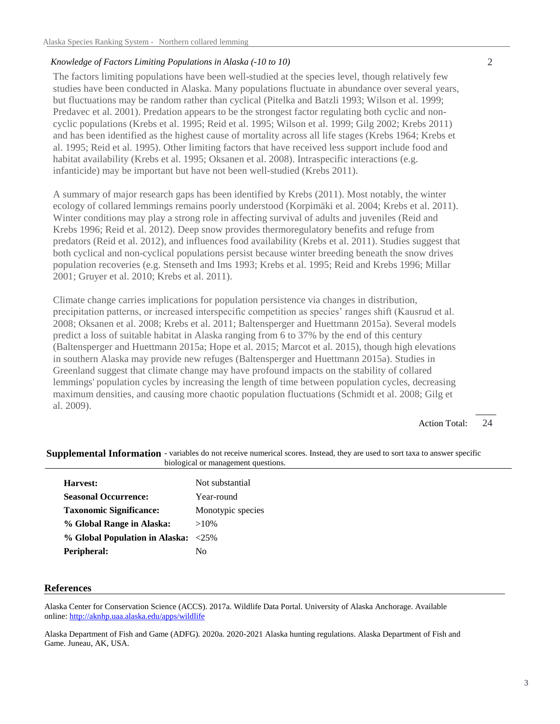## *Knowledge of Factors Limiting Populations in Alaska (-10 to 10)*

The factors limiting populations have been well-studied at the species level, though relatively few studies have been conducted in Alaska. Many populations fluctuate in abundance over several years, but fluctuations may be random rather than cyclical (Pitelka and Batzli 1993; Wilson et al. 1999; Predavec et al. 2001). Predation appears to be the strongest factor regulating both cyclic and noncyclic populations (Krebs et al. 1995; Reid et al. 1995; Wilson et al. 1999; Gilg 2002; Krebs 2011) and has been identified as the highest cause of mortality across all life stages (Krebs 1964; Krebs et al. 1995; Reid et al. 1995). Other limiting factors that have received less support include food and habitat availability (Krebs et al. 1995; Oksanen et al. 2008). Intraspecific interactions (e.g. infanticide) may be important but have not been well-studied (Krebs 2011).

A summary of major research gaps has been identified by Krebs (2011). Most notably, the winter ecology of collared lemmings remains poorly understood (Korpimäki et al. 2004; Krebs et al. 2011). Winter conditions may play a strong role in affecting survival of adults and juveniles (Reid and Krebs 1996; Reid et al. 2012). Deep snow provides thermoregulatory benefits and refuge from predators (Reid et al. 2012), and influences food availability (Krebs et al. 2011). Studies suggest that both cyclical and non-cyclical populations persist because winter breeding beneath the snow drives population recoveries (e.g. Stenseth and Ims 1993; Krebs et al. 1995; Reid and Krebs 1996; Millar 2001; Gruyer et al. 2010; Krebs et al. 2011).

Climate change carries implications for population persistence via changes in distribution, precipitation patterns, or increased interspecific competition as species' ranges shift (Kausrud et al. 2008; Oksanen et al. 2008; Krebs et al. 2011; Baltensperger and Huettmann 2015a). Several models predict a loss of suitable habitat in Alaska ranging from 6 to 37% by the end of this century (Baltensperger and Huettmann 2015a; Hope et al. 2015; Marcot et al. 2015), though high elevations in southern Alaska may provide new refuges (Baltensperger and Huettmann 2015a). Studies in Greenland suggest that climate change may have profound impacts on the stability of collared lemmings' population cycles by increasing the length of time between population cycles, decreasing maximum densities, and causing more chaotic population fluctuations (Schmidt et al. 2008; Gilg et al. 2009).

> 24 Action Total:

| profogical of management questions.       |
|-------------------------------------------|
| Not substantial                           |
| Year-round                                |
| Monotypic species                         |
| $>10\%$                                   |
| % Global Population in Alaska:<br>$<25\%$ |
| No                                        |
|                                           |

### Supplemental Information - variables do not receive numerical scores. Instead, they are used to sort taxa to answer specific biological or management questions.

#### **References**

Alaska Center for Conservation Science (ACCS). 2017a. Wildlife Data Portal. University of Alaska Anchorage. Available online: http://aknhp.uaa.alaska.edu/apps/wildlife

Alaska Department of Fish and Game (ADFG). 2020a. 2020-2021 Alaska hunting regulations. Alaska Department of Fish and Game. Juneau, AK, USA.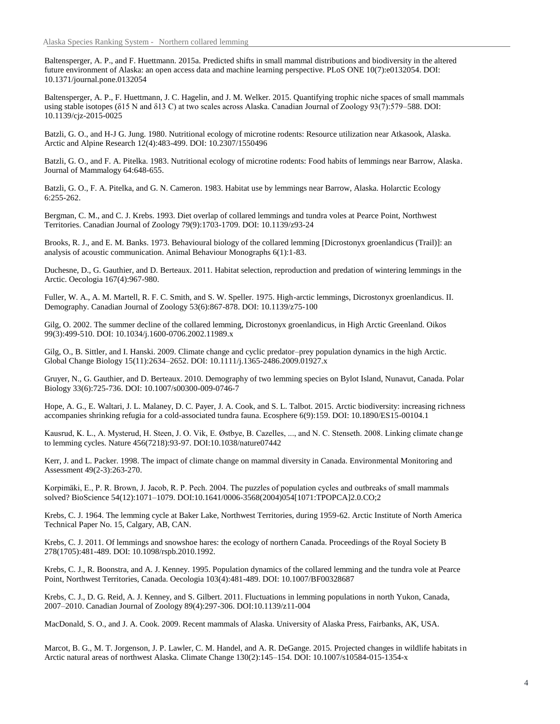Baltensperger, A. P., and F. Huettmann. 2015a. Predicted shifts in small mammal distributions and biodiversity in the altered future environment of Alaska: an open access data and machine learning perspective. PLoS ONE 10(7):e0132054. DOI: 10.1371/journal.pone.0132054

Baltensperger, A. P., F. Huettmann, J. C. Hagelin, and J. M. Welker. 2015. Quantifying trophic niche spaces of small mammals using stable isotopes ( $\delta$ 15 N and  $\delta$ 13 C) at two scales across Alaska. Canadian Journal of Zoology 93(7):579–588. DOI: 10.1139/cjz-2015-0025

Batzli, G. O., and H-J G. Jung. 1980. Nutritional ecology of microtine rodents: Resource utilization near Atkasook, Alaska. Arctic and Alpine Research 12(4):483-499. DOI: 10.2307/1550496

Batzli, G. O., and F. A. Pitelka. 1983. Nutritional ecology of microtine rodents: Food habits of lemmings near Barrow, Alaska. Journal of Mammalogy 64:648-655.

Batzli, G. O., F. A. Pitelka, and G. N. Cameron. 1983. Habitat use by lemmings near Barrow, Alaska. Holarctic Ecology 6:255-262.

Bergman, C. M., and C. J. Krebs. 1993. Diet overlap of collared lemmings and tundra voles at Pearce Point, Northwest Territories. Canadian Journal of Zoology 79(9):1703-1709. DOI: 10.1139/z93-24

Brooks, R. J., and E. M. Banks. 1973. Behavioural biology of the collared lemming [Dicrostonyx groenlandicus (Trail)]: an analysis of acoustic communication. Animal Behaviour Monographs 6(1):1-83.

Duchesne, D., G. Gauthier, and D. Berteaux. 2011. Habitat selection, reproduction and predation of wintering lemmings in the Arctic. Oecologia 167(4):967-980.

Fuller, W. A., A. M. Martell, R. F. C. Smith, and S. W. Speller. 1975. High-arctic lemmings, Dicrostonyx groenlandicus. II. Demography. Canadian Journal of Zoology 53(6):867-878. DOI: 10.1139/z75-100

Gilg, O. 2002. The summer decline of the collared lemming, Dicrostonyx groenlandicus, in High Arctic Greenland. Oikos 99(3):499-510. DOI: 10.1034/j.1600-0706.2002.11989.x

Gilg, O., B. Sittler, and I. Hanski. 2009. Climate change and cyclic predator–prey population dynamics in the high Arctic. Global Change Biology 15(11):2634–2652. DOI: 10.1111/j.1365-2486.2009.01927.x

Gruyer, N., G. Gauthier, and D. Berteaux. 2010. Demography of two lemming species on Bylot Island, Nunavut, Canada. Polar Biology 33(6):725-736. DOI: 10.1007/s00300-009-0746-7

Hope, A. G., E. Waltari, J. L. Malaney, D. C. Payer, J. A. Cook, and S. L. Talbot. 2015. Arctic biodiversity: increasing richness accompanies shrinking refugia for a cold-associated tundra fauna. Ecosphere 6(9):159. DOI: 10.1890/ES15-00104.1

Kausrud, K. L., A. Mysterud, H. Steen, J. O. Vik, E. Østbye, B. Cazelles, ..., and N. C. Stenseth. 2008. Linking climate change to lemming cycles. Nature 456(7218):93-97. DOI:10.1038/nature07442

Kerr, J. and L. Packer. 1998. The impact of climate change on mammal diversity in Canada. Environmental Monitoring and Assessment 49(2-3):263-270.

Korpimäki, E., P. R. Brown, J. Jacob, R. P. Pech. 2004. The puzzles of population cycles and outbreaks of small mammals solved? BioScience 54(12):1071–1079. DOI:10.1641/0006-3568(2004)054[1071:TPOPCA]2.0.CO;2

Krebs, C. J. 1964. The lemming cycle at Baker Lake, Northwest Territories, during 1959-62. Arctic Institute of North America Technical Paper No. 15, Calgary, AB, CAN.

Krebs, C. J. 2011. Of lemmings and snowshoe hares: the ecology of northern Canada. Proceedings of the Royal Society B 278(1705):481-489. DOI: 10.1098/rspb.2010.1992.

Krebs, C. J., R. Boonstra, and A. J. Kenney. 1995. Population dynamics of the collared lemming and the tundra vole at Pearce Point, Northwest Territories, Canada. Oecologia 103(4):481-489. DOI: 10.1007/BF00328687

Krebs, C. J., D. G. Reid, A. J. Kenney, and S. Gilbert. 2011. Fluctuations in lemming populations in north Yukon, Canada, 2007–2010. Canadian Journal of Zoology 89(4):297-306. DOI:10.1139/z11-004

MacDonald, S. O., and J. A. Cook. 2009. Recent mammals of Alaska. University of Alaska Press, Fairbanks, AK, USA.

Marcot, B. G., M. T. Jorgenson, J. P. Lawler, C. M. Handel, and A. R. DeGange. 2015. Projected changes in wildlife habitats in Arctic natural areas of northwest Alaska. Climate Change 130(2):145–154. DOI: 10.1007/s10584-015-1354-x